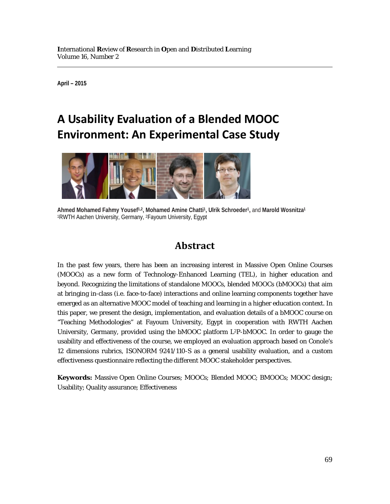**April – 2015**

# **A Usability Evaluation of a Blended MOOC Environment: An Experimental Case Study**



**Ahmed Mohamed Fahmy Yousef1,2, Mohamed Amine Chatti1, Ulrik Schroeder1,** and **Marold Wosnitza1** 1RWTH Aachen University, Germany, 2Fayoum University, Egypt

## **Abstract**

In the past few years, there has been an increasing interest in Massive Open Online Courses (MOOCs) as a new form of Technology-Enhanced Learning (TEL), in higher education and beyond. Recognizing the limitations of standalone MOOCs, blended MOOCs (bMOOCs) that aim at bringing in-class (i.e. face-to-face) interactions and online learning components together have emerged as an alternative MOOC model of teaching and learning in a higher education context. In this paper, we present the design, implementation, and evaluation details of a bMOOC course on "Teaching Methodologies" at Fayoum University, Egypt in cooperation with RWTH Aachen University, Germany, provided using the bMOOC platform L2P-bMOOC. In order to gauge the usability and effectiveness of the course, we employed an evaluation approach based on Conole's 12 dimensions rubrics, ISONORM 9241/110-S as a general usability evaluation, and a custom effectiveness questionnaire reflecting the different MOOC stakeholder perspectives.

**Keywords:** Massive Open Online Courses; MOOCs; Blended MOOC; BMOOCs; MOOC design; Usability; Quality assurance; Effectiveness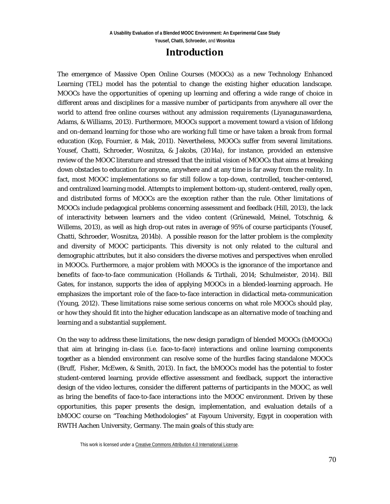### **Introduction**

The emergence of Massive Open Online Courses (MOOCs) as a new Technology Enhanced Learning (TEL) model has the potential to change the existing higher education landscape. MOOCs have the opportunities of opening up learning and offering a wide range of choice in different areas and disciplines for a massive number of participants from anywhere all over the world to attend free online courses without any admission requirements (Liyanagunawardena, Adams, & Williams, 2013). Furthermore, MOOCs support a movement toward a vision of lifelong and on-demand learning for those who are working full time or have taken a break from formal education (Kop, Fournier, & Mak, 2011). Nevertheless, MOOCs suffer from several limitations. Yousef, Chatti, Schroeder, Wosnitza, & Jakobs, (2014a), for instance, provided an extensive review of the MOOC literature and stressed that the initial vision of MOOCs that aims at breaking down obstacles to education for anyone, anywhere and at any time is far away from the reality. In fact, most MOOC implementations so far still follow a top-down, controlled, teacher-centered, and centralized learning model. Attempts to implement bottom-up, student-centered, really open, and distributed forms of MOOCs are the exception rather than the rule. Other limitations of MOOCs include pedagogical problems concerning assessment and feedback (Hill, 2013), the lack of interactivity between learners and the video content (Grünewald, Meinel, Totschnig, & Willems, 2013), as well as high drop-out rates in average of 95% of course participants (Yousef, Chatti, Schroeder, Wosnitza, 2014b). A possible reason for the latter problem is the complexity and diversity of MOOC participants. This diversity is not only related to the cultural and demographic attributes, but it also considers the diverse motives and perspectives when enrolled in MOOCs. Furthermore, a major problem with MOOCs is the ignorance of the importance and benefits of face-to-face communication (Hollands & Tirthali, 2014; Schulmeister, 2014). Bill Gates, for instance, supports the idea of applying MOOCs in a blended-learning approach. He emphasizes the important role of the face-to-face interaction in didactical meta-communication (Young, 2012). These limitations raise some serious concerns on what role MOOCs should play, or how they should fit into the higher education landscape as an alternative mode of teaching and learning and a substantial supplement.

On the way to address these limitations, the new design paradigm of blended MOOCs (bMOOCs) that aim at bringing in-class (i.e. face-to-face) interactions and online learning components together as a blended environment can resolve some of the hurdles facing standalone MOOCs (Bruff, Fisher, McEwen, & Smith, 2013). In fact, the bMOOCs model has the potential to foster student-centered learning, provide effective assessment and feedback, support the interactive design of the video lectures, consider the different patterns of participants in the MOOC, as well as bring the benefits of face-to-face interactions into the MOOC environment. Driven by these opportunities, this paper presents the design, implementation, and evaluation details of a bMOOC course on "Teaching Methodologies" at Fayoum University, Egypt in cooperation with RWTH Aachen University, Germany. The main goals of this study are: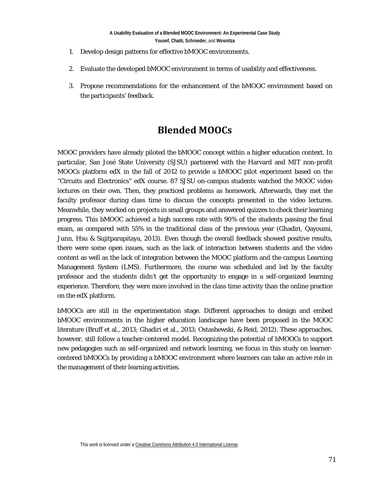- 1. Develop design patterns for effective bMOOC environments.
- 2. Evaluate the developed bMOOC environment in terms of usability and effectiveness.
- 3. Propose recommendations for the enhancement of the bMOOC environment based on the participants' feedback.

## **Blended MOOCs**

MOOC providers have already piloted the bMOOC concept within a higher education context. In particular, San José State University (SJSU) partnered with the Harvard and MIT non-profit MOOCs platform edX in the fall of 2012 to provide a bMOOC pilot experiment based on the "Circuits and Electronics" edX course. 87 SJSU on-campus students watched the MOOC video lectures on their own. Then, they practiced problems as homework. Afterwards, they met the faculty professor during class time to discuss the concepts presented in the video lectures. Meanwhile, they worked on projects in small groups and answered quizzes to check their learning progress. This bMOOC achieved a high success rate with 90% of the students passing the final exam, as compared with 55% in the traditional class of the previous year (Ghadiri, Qayoumi, Junn, Hsu & Sujitparapitaya, 2013). Even though the overall feedback showed positive results, there were some open issues, such as the lack of interaction between students and the video content as well as the lack of integration between the MOOC platform and the campus Learning Management System (LMS). Furthermore, the course was scheduled and led by the faculty professor and the students didn't get the opportunity to engage in a self-organized learning experience. Therefore, they were more involved in the class time activity than the online practice on the edX platform.

bMOOCs are still in the experimentation stage. Different approaches to design and embed bMOOC environments in the higher education landscape have been proposed in the MOOC literature (Bruff et al., 2013; Ghadiri et al., 2013; Ostashewski, & Reid, 2012). These approaches, however, still follow a teacher-centered model. Recognizing the potential of bMOOCs to support new pedagogies such as self-organized and network learning, we focus in this study on learnercentered bMOOCs by providing a bMOOC environment where learners can take an active role in the management of their learning activities.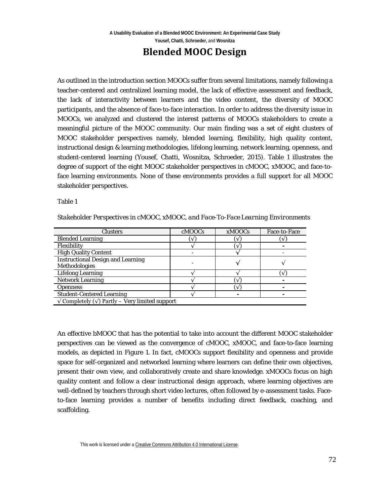## **Blended MOOC Design**

As outlined in the introduction section MOOCs suffer from several limitations, namely following a teacher-centered and centralized learning model, the lack of effective assessment and feedback, the lack of interactivity between learners and the video content, the diversity of MOOC participants, and the absence of face-to-face interaction. In order to address the diversity issue in MOOCs, we analyzed and clustered the interest patterns of MOOCs stakeholders to create a meaningful picture of the MOOC community. Our main finding was a set of eight clusters of MOOC stakeholder perspectives namely, blended learning, flexibility, high quality content, instructional design & learning methodologies, lifelong learning, network learning, openness, and student-centered learning (Yousef, Chatti, Wosnitza, Schroeder, 2015). Table 1 illustrates the degree of support of the eight MOOC stakeholder perspectives in cMOOC, xMOOC, and face-toface learning environments. None of these environments provides a full support for all MOOC stakeholder perspectives.

Table 1

| Clusters                                  | cMOOCs       | <b>xMOOCs</b> | <b>Face-to-Face</b> |
|-------------------------------------------|--------------|---------------|---------------------|
| <b>Blended Learning</b>                   | $\mathbf{v}$ |               |                     |
| $\Gamma$ <sub>ovi</sub> ki $\mathbf{u}_t$ |              |               |                     |

*Stakeholder Perspectives in cMOOC, xMOOC, and Face-To-Face Learning Environments*

| <b>Clusters</b>                                                 | <b>CNIUULS</b> | <b>XMUUUS</b> | race-to-race |
|-----------------------------------------------------------------|----------------|---------------|--------------|
| <b>Blended Learning</b>                                         |                |               | $\vee$       |
| Flexibility                                                     |                |               |              |
| <b>High Quality Content</b>                                     |                |               |              |
| <b>Instructional Design and Learning</b>                        |                |               |              |
| Methodologies                                                   |                |               |              |
| <b>Lifelong Learning</b>                                        |                |               |              |
| <b>Network Learning</b>                                         |                |               |              |
| <b>Openness</b>                                                 |                |               |              |
| <b>Student-Centered Learning</b>                                |                |               |              |
| $\sqrt{\text{Complex}}(\sqrt{\ }$ Partly – Very limited support |                |               |              |

An effective bMOOC that has the potential to take into account the different MOOC stakeholder perspectives can be viewed as the convergence of cMOOC, xMOOC, and face-to-face learning models, as depicted in Figure 1. In fact, cMOOCs support flexibility and openness and provide space for self-organized and networked learning where learners can define their own objectives, present their own view, and collaboratively create and share knowledge. xMOOCs focus on high quality content and follow a clear instructional design approach, where learning objectives are well-defined by teachers through short video lectures, often followed by e-assessment tasks. Faceto-face learning provides a number of benefits including direct feedback, coaching, and scaffolding.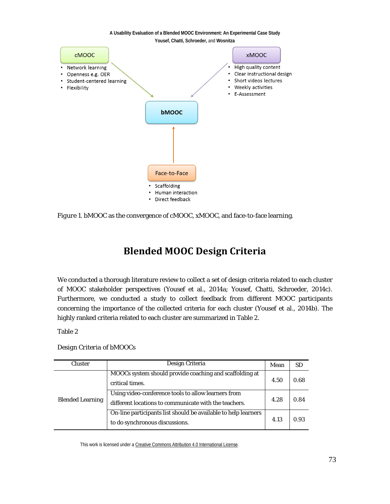

*Figure 1*. bMOOC as the convergence of cMOOC, xMOOC, and face-to-face learning.

## **Blended MOOC Design Criteria**

We conducted a thorough literature review to collect a set of design criteria related to each cluster of MOOC stakeholder perspectives (Yousef et al., 2014a; Yousef, Chatti, Schroeder, 2014c). Furthermore, we conducted a study to collect feedback from different MOOC participants concerning the importance of the collected criteria for each cluster (Yousef et al., 2014b). The highly ranked criteria related to each cluster are summarized in Table 2.

Table 2

*Design Criteria of bMOOCs* 

| <b>Cluster</b>          | Design Criteria                                                                                              | Mean | <b>SD</b> |
|-------------------------|--------------------------------------------------------------------------------------------------------------|------|-----------|
| <b>Blended Learning</b> | MOOCs system should provide coaching and scaffolding at<br>critical times.                                   | 4.50 | 0.68      |
|                         | Using video-conference tools to allow learners from<br>different locations to communicate with the teachers. | 4.28 | 0.84      |
|                         | On-line participants list should be available to help learners<br>to do synchronous discussions.             | 4.13 | 0.93      |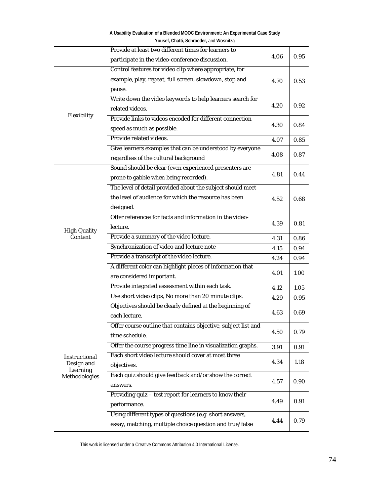| A Usability Evaluation of a Blended MOOC Environment: An Experimental Case Study |
|----------------------------------------------------------------------------------|
| Yousef, Chatti, Schroeder, and Wosnitza                                          |

|                        | Provide at least two different times for learners to           |      |      |
|------------------------|----------------------------------------------------------------|------|------|
|                        | participate in the video-conference discussion.                | 4.06 | 0.95 |
|                        | Control features for video clip where appropriate, for         |      |      |
|                        | example, play, repeat, full screen, slowdown, stop and         | 4.70 | 0.53 |
|                        | pause.                                                         |      |      |
|                        | Write down the video keywords to help learners search for      |      |      |
|                        | related videos.                                                | 4.20 | 0.92 |
| Flexibility            | Provide links to videos encoded for different connection       | 4.30 | 0.84 |
|                        | speed as much as possible.                                     |      |      |
|                        | Provide related videos.                                        | 4.07 | 0.85 |
|                        | Give learners examples that can be understood by everyone      |      |      |
|                        | regardless of the cultural background                          | 4.08 | 0.87 |
|                        | Sound should be clear (even experienced presenters are         |      |      |
|                        | prone to gabble when being recorded).                          | 4.81 | 0.44 |
|                        | The level of detail provided about the subject should meet     |      |      |
|                        | the level of audience for which the resource has been          | 4.52 | 0.68 |
|                        | designed.                                                      |      |      |
|                        | Offer references for facts and information in the video-       |      |      |
| <b>High Quality</b>    | lecture.                                                       | 4.39 | 0.81 |
| Content                | Provide a summary of the video lecture.                        | 4.31 | 0.86 |
|                        | Synchronization of video and lecture note                      | 4.15 | 0.94 |
|                        | Provide a transcript of the video lecture.                     | 4.24 | 0.94 |
|                        | A different color can highlight pieces of information that     |      |      |
|                        | are considered important.                                      | 4.01 | 1.00 |
|                        | Provide integrated assessment within each task.                | 4.12 | 1.05 |
|                        | Use short video clips, No more than 20 minute clips.           | 4.29 | 0.95 |
|                        | Objectives should be clearly defined at the beginning of       |      |      |
|                        | each lecture.                                                  | 4.63 | 0.69 |
|                        | Offer course outline that contains objective, subject list and |      |      |
|                        | time schedule.                                                 | 4.50 | 0.79 |
|                        | Offer the course progress time line in visualization graphs.   | 3.91 | 0.91 |
| Instructional          | Each short video lecture should cover at most three            |      |      |
| Design and<br>Learning | objectives.                                                    | 4.34 | 1.18 |
| Methodologies          | Each quiz should give feedback and/or show the correct         |      |      |
|                        | answers.                                                       | 4.57 | 0.90 |
|                        | Providing quiz - test report for learners to know their        |      |      |
|                        | performance.                                                   | 4.49 | 0.91 |
|                        | Using different types of questions (e.g. short answers,        |      |      |
|                        | essay, matching, multiple choice question and true/false       | 4.44 | 0.79 |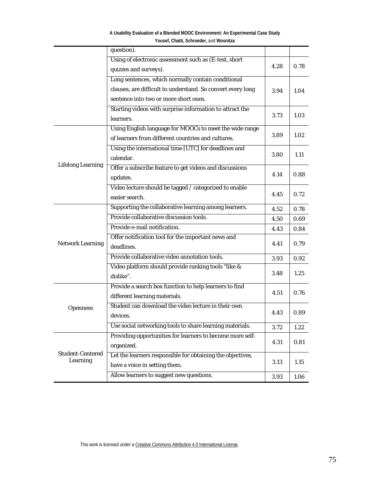|                          | question).                                                  |      |      |
|--------------------------|-------------------------------------------------------------|------|------|
|                          | Using of electronic assessment such as (E-test, short       |      |      |
|                          | quizzes and surveys).                                       | 4.28 | 0.78 |
|                          | Long sentences, which normally contain conditional          |      |      |
|                          | clauses, are difficult to understand. So convert every long | 3.94 | 1.04 |
|                          | sentence into two or more short ones.                       |      |      |
|                          | Starting videos with surprise information to attract the    |      |      |
|                          | learners.                                                   | 3.73 | 1.03 |
|                          | Using English language for MOOCs to meet the wide range     |      |      |
|                          | of learners from different countries and cultures.          | 3.89 | 1.02 |
|                          | Using the international time [UTC] for deadlines and        |      |      |
|                          | calendar.                                                   | 3.80 | 1.11 |
| <b>Lifelong Learning</b> | Offer a subscribe feature to get videos and discussions     |      |      |
|                          | updates.                                                    | 4.14 | 0.88 |
|                          | Video lecture should be tagged / categorized to enable      |      |      |
|                          | easier search.                                              | 4.45 | 0.72 |
|                          | Supporting the collaborative learning among learners.       | 4.52 | 0.78 |
|                          | Provide collaborative discussion tools.                     | 4.50 | 0.69 |
|                          | Provide e-mail notification.                                | 4.43 | 0.84 |
|                          | Offer notification tool for the important news and          |      |      |
| <b>Network Learning</b>  | deadlines.                                                  | 4.41 | 0.79 |
|                          | Provide collaborative video annotation tools.               | 3.93 | 0.92 |
|                          | Video platform should provide ranking tools "like &         |      |      |
|                          | dislike".                                                   | 3.48 | 1.25 |
|                          | Provide a search box function to help learners to find      |      |      |
|                          | different learning materials.                               | 4.51 | 0.76 |
| <b>Openness</b>          | Student can download the video lecture in their own         |      |      |
|                          | devices.                                                    | 4.43 | 0.89 |
|                          | Use social networking tools to share learning materials.    | 3.72 | 1.22 |
|                          | Providing opportunities for learners to become more self-   |      |      |
|                          | organized.                                                  | 4.31 | 0.81 |
| <b>Student-Centered</b>  | Let the learners responsible for obtaining the objectives,  |      |      |
| Learning                 | have a voice in setting them.                               | 3.13 | 1.15 |
|                          | Allow learners to suggest new questions.                    | 3.93 | 1.06 |

**A Usability Evaluation of a Blended MOOC Environment: An Experimental Case Study Yousef, Chatti, Schroeder,** and **Wosnitza**

This work is licensed under [a Creative Commons Attribution 4.0 International License.](http://creativecommons.org/licenses/by/4.0/)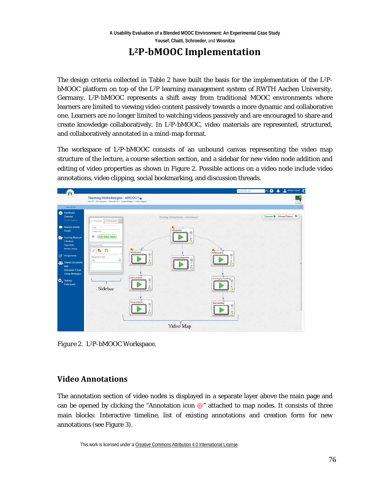## **L2P-bMOOC Implementation**

The design criteria collected in Table 2 have built the basis for the implementation of the  $L^2P$ bMOOC platform on top of the L2P learning management system of RWTH Aachen University, Germany. L2P-bMOOC represents a shift away from traditional MOOC environments where learners are limited to viewing video content passively towards a more dynamic and collaborative one. Learners are no longer limited to watching videos passively and are encouraged to share and create knowledge collaboratively. In L2P-bMOOC, video materials are represented, structured, and collaboratively annotated in a mind-map format.

The workspace of  $L^2P$ -bMOOC consists of an unbound canvas representing the video map structure of the lecture, a course selection section, and a sidebar for new video node addition and editing of video properties as shown in Figure 2. Possible actions on a video node include video annotations, video clipping, social bookmarking, and discussion threads.



*Figure 2.* L2P-bMOOC Workspace.

### **Video Annotations**

The annotation section of video nodes is displayed in a separate layer above the main page and can be opened by clicking the "Annotation icon  $\mathcal{Q}$ " attached to map nodes. It consists of three main blocks: Interactive timeline, list of existing annotations and creation form for new annotations (see Figure 3).

This work is licensed under [a Creative Commons Attribution 4.0 International License.](http://creativecommons.org/licenses/by/4.0/)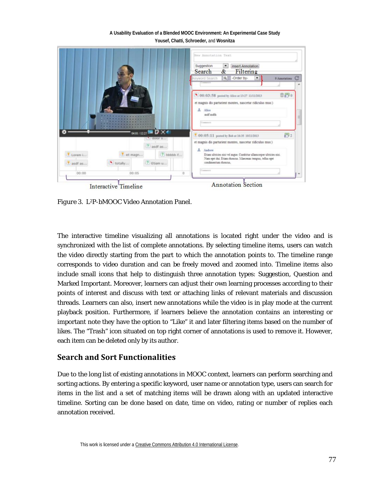|           |           |                                   | New Annotation Text<br>Suggestion<br>Insert Annotation<br>$\blacksquare$<br>Search<br>Filtering<br>&                                                                      |
|-----------|-----------|-----------------------------------|---------------------------------------------------------------------------------------------------------------------------------------------------------------------------|
|           |           |                                   | -Order by-<br>$\alpha$<br>eyword Search<br>۰<br>C<br>9 Annotations                                                                                                        |
|           |           |                                   | <b>商码:</b><br><sup>6</sup> 00:03:58 posted by Alice at 13:27 11/11/2013<br>et magnis dis parturient montes, nascetur ridiculus mus:)<br>Alice<br>andf andfa<br>Commercial |
|           |           | 04:01/12:27 19 D . 4<br>" dolor s | P92<br>7.00:05:11 posted by Bob at 16:35 10/11/2013<br>et magnis dis parturient montes, nascetur ridiculus mus.)                                                          |
|           |           | ? andf as                         | Andrew                                                                                                                                                                    |
| Lorem i   | t et magn | ? hhhhh f                         | Etian ultricies nisi vel augue. Curabitur ullancorper ultricies nisi.                                                                                                     |
| t asdf as | totally   | ? Etiam u                         | Nam eget dui. Etiam rhoncus. Maecenas tempus, tellus eget<br>condimentum rhonous.                                                                                         |
|           |           |                                   | Commercial                                                                                                                                                                |

Interactive Timeline

*Figure 3.* L2P-bMOOC Video Annotation Panel.

The interactive timeline visualizing all annotations is located right under the video and is synchronized with the list of complete annotations. By selecting timeline items, users can watch the video directly starting from the part to which the annotation points to. The timeline range corresponds to video duration and can be freely moved and zoomed into. Timeline items also include small icons that help to distinguish three annotation types: Suggestion, Question and Marked Important. Moreover, learners can adjust their own learning processes according to their points of interest and discuss with text or attaching links of relevant materials and discussion threads. Learners can also, insert new annotations while the video is in play mode at the current playback position. Furthermore, if learners believe the annotation contains an interesting or important note they have the option to "Like" it and later filtering items based on the number of likes. The "Trash" icon situated on top right corner of annotations is used to remove it. However, each item can be deleted only by its author.

### **Search and Sort Functionalities**

Due to the long list of existing annotations in MOOC context, learners can perform searching and sorting actions. By entering a specific keyword, user name or annotation type, users can search for items in the list and a set of matching items will be drawn along with an updated interactive timeline. Sorting can be done based on date, time on video, rating or number of replies each annotation received.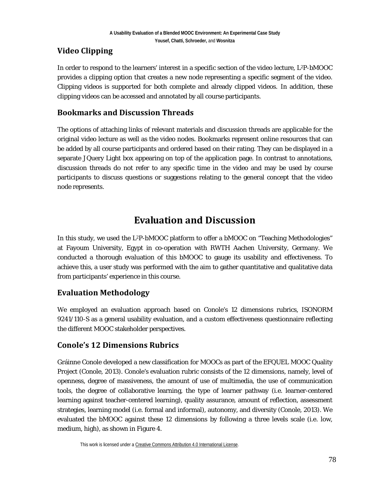### **Video Clipping**

In order to respond to the learners' interest in a specific section of the video lecture, L2P-bMOOC provides a clipping option that creates a new node representing a specific segment of the video. Clipping videos is supported for both complete and already clipped videos. In addition, these clipping videos can be accessed and annotated by all course participants.

### **Bookmarks and Discussion Threads**

The options of attaching links of relevant materials and discussion threads are applicable for the original video lecture as well as the video nodes. Bookmarks represent online resources that can be added by all course participants and ordered based on their rating. They can be displayed in a separate JQuery Light box appearing on top of the application page. In contrast to annotations, discussion threads do not refer to any specific time in the video and may be used by course participants to discuss questions or suggestions relating to the general concept that the video node represents.

## **Evaluation and Discussion**

In this study, we used the L2P-bMOOC platform to offer a bMOOC on "Teaching Methodologies" at Fayoum University, Egypt in co-operation with RWTH Aachen University, Germany. We conducted a thorough evaluation of this bMOOC to gauge its usability and effectiveness. To achieve this, a user study was performed with the aim to gather quantitative and qualitative data from participants' experience in this course.

### **Evaluation Methodology**

We employed an evaluation approach based on Conole's 12 dimensions rubrics, ISONORM 9241/110-S as a general usability evaluation, and a custom effectiveness questionnaire reflecting the different MOOC stakeholder perspectives.

### **Conole's 12 Dimensions Rubrics**

Gráinne Conole developed a new classification for MOOCs as part of the EFQUEL MOOC Quality Project (Conole, 2013). Conole's evaluation rubric consists of the 12 dimensions, namely, level of openness, degree of massiveness, the amount of use of multimedia, the use of communication tools, the degree of collaborative learning, the type of learner pathway (i.e. learner-centered learning against teacher-centered learning), quality assurance, amount of reflection, assessment strategies, learning model (i.e. formal and informal), autonomy, and diversity (Conole, 2013). We evaluated the bMOOC against these 12 dimensions by following a three levels scale (i.e. low, medium, high), as shown in Figure 4.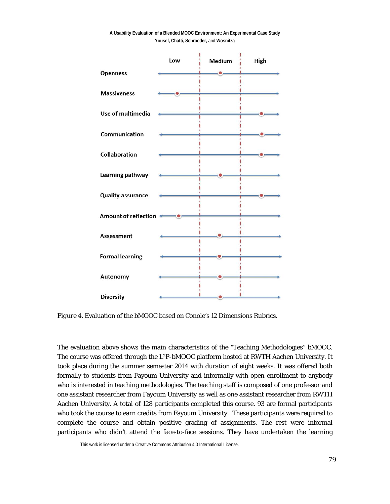

**A Usability Evaluation of a Blended MOOC Environment: An Experimental Case Study Yousef, Chatti, Schroeder,** and **Wosnitza**

*Figure 4*. Evaluation of the bMOOC based on Conole's 12 Dimensions Rubrics.

The evaluation above shows the main characteristics of the "Teaching Methodologies" bMOOC. The course was offered through the L<sup>2</sup>P-bMOOC platform hosted at RWTH Aachen University. It took place during the summer semester 2014 with duration of eight weeks. It was offered both formally to students from Fayoum University and informally with open enrollment to anybody who is interested in teaching methodologies. The teaching staff is composed of one professor and one assistant researcher from Fayoum University as well as one assistant researcher from RWTH Aachen University. A total of 128 participants completed this course. 93 are formal participants who took the course to earn credits from Fayoum University. These participants were required to complete the course and obtain positive grading of assignments. The rest were informal participants who didn't attend the face-to-face sessions. They have undertaken the learning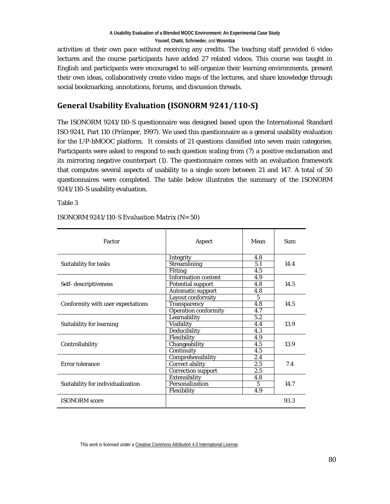activities at their own pace without receiving any credits. The teaching staff provided 6 video lectures and the course participants have added 27 related videos. This course was taught in English and participants were encouraged to self-organize their learning environments, present their own ideas, collaboratively create video maps of the lectures, and share knowledge through social bookmarking, annotations, forums, and discussion threads.

### **General Usability Evaluation (ISONORM 9241/110-S)**

The ISONORM 9241/110-S questionnaire was designed based upon the International Standard ISO 9241, Part 110 (Prümper, 1997). We used this questionnaire as a general usability evaluation for the L2P-bMOOC platform. It consists of 21 questions classified into seven main categories. Participants were asked to respond to each question scaling from (7) a positive exclamation and its mirroring negative counterpart (1). The questionnaire comes with an evaluation framework that computes several aspects of usability to a single score between 21 and 147. A total of 50 questionnaires were completed. The table below illustrates the summary of the ISONORM 9241/110-S usability evaluation.

Table 3

| Factor                            | Aspect                     | Mean            | <b>Sum</b> |
|-----------------------------------|----------------------------|-----------------|------------|
|                                   | Integrity                  | 4.8             |            |
| Suitability for tasks             | <b>Streamlining</b>        | 5.1             | 14.4       |
|                                   | <b>Fitting</b>             | 4.5             |            |
|                                   | <b>Information content</b> | 4.9             |            |
| Self- descriptiveness             | <b>Potential support</b>   | 4.8             | 14.5       |
|                                   | <b>Automatic support</b>   | 4.8             |            |
|                                   | <b>Layout conformity</b>   | 5               |            |
| Conformity with user expectations | Transparency               | 4.8             | 14.5       |
|                                   | Operation conformity       | 4.7             |            |
|                                   | Learnability               | 5.2             |            |
| Suitability for learning          | <b>Visibility</b>          | 4.4             | 13.9       |
|                                   | Deducibility               | 4.3             |            |
|                                   | Flexibility                | 4.9             |            |
| Controllability                   | Changeability              | 4.5             | 13.9       |
|                                   | Continuity                 | 4.5             |            |
|                                   | Comprehensibility          | 2.4             |            |
| Error tolerance                   | Correct ability            | 2.5             | 7.4        |
|                                   | <b>Correction support</b>  | 2.5             |            |
|                                   | Extensibility              | 4.8             |            |
| Suitability for individualization | Personalization            | $5\overline{)}$ | 14.7       |
|                                   | Flexibility                | 4.9             |            |
| <b>ISONORM</b> score              |                            |                 | 93.3       |

#### *ISONORM 9241/110-S Evaluation Matrix (N= 50)*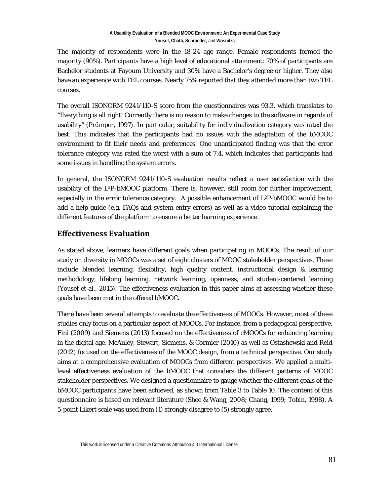The majority of respondents were in the 18-24 age range. Female respondents formed the majority (90%). Participants have a high level of educational attainment: 70% of participants are Bachelor students at Fayoum University and 30% have a Bachelor's degree or higher. They also have an experience with TEL courses. Nearly 75% reported that they attended more than two TEL courses.

The overall ISONORM 9241/110-S score from the questionnaires was 93.3, which translates to "Everything is all right! Currently there is no reason to make changes to the software in regards of usability" (Prümper, 1997). In particular, suitability for individualization category was rated the best. This indicates that the participants had no issues with the adaptation of the bMOOC environment to fit their needs and preferences. One unanticipated finding was that the error tolerance category was rated the worst with a sum of 7.4, which indicates that participants had some issues in handling the system errors.

In general, the ISONORM 9241/110-S evaluation results reflect a user satisfaction with the usability of the L2P-bMOOC platform. There is, however, still room for further improvement, especially in the error tolerance category. A possible enhancement of L2P-bMOOC would be to add a help guide (e.g. FAQs and system entry errors) as well as a video tutorial explaining the different features of the platform to ensure a better learning experience.

### **Effectiveness Evaluation**

As stated above, learners have different goals when participating in MOOCs. The result of our study on diversity in MOOCs was a set of eight clusters of MOOC stakeholder perspectives. These include blended learning, flexibility, high quality content, instructional design & learning methodology, lifelong learning, network learning, openness, and student-centered learning (Yousef et al., 2015). The effectiveness evaluation in this paper aims at assessing whether these goals have been met in the offered bMOOC.

There have been several attempts to evaluate the effectiveness of MOOCs. However, most of these studies only focus on a particular aspect of MOOCs. For instance, from a pedagogical perspective, Fini (2009) and Siemens (2013) focused on the effectiveness of cMOOCs for enhancing learning in the digital age. McAuley, Stewart, Siemens, & Cormier (2010) as well as Ostashewski and Reid (2012) focused on the effectiveness of the MOOC design, from a technical perspective. Our study aims at a comprehensive evaluation of MOOCs from different perspectives. We applied a multilevel effectiveness evaluation of the bMOOC that considers the different patterns of MOOC stakeholder perspectives. We designed a questionnaire to gauge whether the different goals of the bMOOC participants have been achieved, as shown from Table 3 to Table 10. The content of this questionnaire is based on relevant literature (Shee & Wang, 2008; Chang, 1999; Tobin, 1998). A 5-point Likert scale was used from (1) strongly disagree to (5) strongly agree.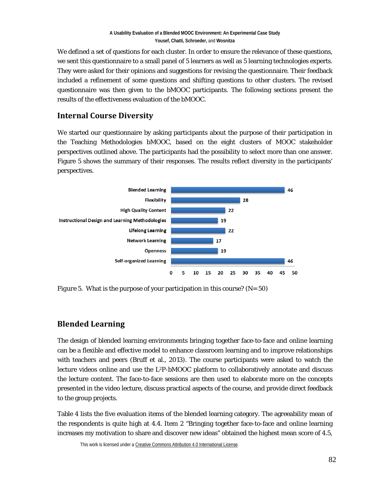We defined a set of questions for each cluster. In order to ensure the relevance of these questions, we sent this questionnaire to a small panel of 5 learners as well as 5 learning technologies experts. They were asked for their opinions and suggestions for revising the questionnaire. Their feedback included a refinement of some questions and shifting questions to other clusters. The revised questionnaire was then given to the bMOOC participants. The following sections present the results of the effectiveness evaluation of the bMOOC.

### **Internal Course Diversity**

We started our questionnaire by asking participants about the purpose of their participation in the Teaching Methodologies bMOOC, based on the eight clusters of MOOC stakeholder perspectives outlined above. The participants had the possibility to select more than one answer. Figure 5 shows the summary of their responses. The results reflect diversity in the participants' perspectives.



*Figure 5.* What is the purpose of your participation in this course? (N= 50)

### **Blended Learning**

The design of blended learning environments bringing together face-to-face and online learning can be a flexible and effective model to enhance classroom learning and to improve relationships with teachers and peers (Bruff et al., 2013). The course participants were asked to watch the lecture videos online and use the L2P-bMOOC platform to collaboratively annotate and discuss the lecture content. The face-to-face sessions are then used to elaborate more on the concepts presented in the video lecture, discuss practical aspects of the course, and provide direct feedback to the group projects.

Table 4 lists the five evaluation items of the blended learning category. The agreeability mean of the respondents is quite high at 4.4. Item 2 "Bringing together face-to-face and online learning increases my motivation to share and discover new ideas" obtained the highest mean score of 4.5,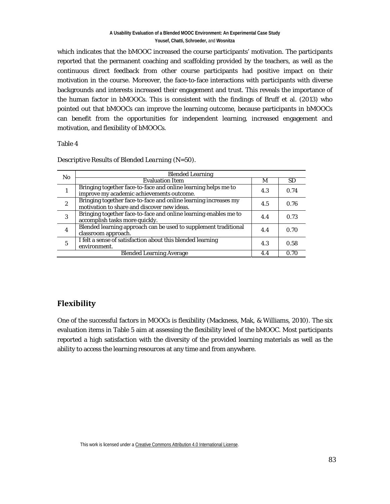which indicates that the bMOOC increased the course participants' motivation. The participants reported that the permanent coaching and scaffolding provided by the teachers, as well as the continuous direct feedback from other course participants had positive impact on their motivation in the course. Moreover, the face-to-face interactions with participants with diverse backgrounds and interests increased their engagement and trust. This reveals the importance of the human factor in bMOOCs. This is consistent with the findings of Bruff et al. (2013) who pointed out that bMOOCs can improve the learning outcome, because participants in bMOOCs can benefit from the opportunities for independent learning, increased engagement and motivation, and flexibility of bMOOCs.

#### Table 4

| N <sub>0</sub>   | <b>Blended Learning</b>                                                                                        |     |           |  |  |
|------------------|----------------------------------------------------------------------------------------------------------------|-----|-----------|--|--|
|                  | <b>Evaluation Item</b>                                                                                         | М   | <b>SD</b> |  |  |
| $\mathbf{1}$     | Bringing together face-to-face and online learning helps me to<br>improve my academic achievements outcome.    | 4.3 | 0.74      |  |  |
| $\boldsymbol{2}$ | Bringing together face-to-face and online learning increases my<br>motivation to share and discover new ideas. | 4.5 | 0.76      |  |  |
| 3                | Bringing together face-to-face and online learning enables me to<br>accomplish tasks more quickly.             | 4.4 | 0.73      |  |  |
| $\overline{4}$   | Blended learning approach can be used to supplement traditional<br>classroom approach.                         | 4.4 | 0.70      |  |  |
| 5                | I felt a sense of satisfaction about this blended learning<br>environment.                                     | 4.3 | 0.58      |  |  |
|                  | <b>Blended Learning Average</b><br>0.70<br>4.4                                                                 |     |           |  |  |

#### *Descriptive Results of Blended Learning (N=50).*

### **Flexibility**

One of the successful factors in MOOCs is flexibility (Mackness, Mak, & Williams, 2010). The six evaluation items in Table 5 aim at assessing the flexibility level of the bMOOC. Most participants reported a high satisfaction with the diversity of the provided learning materials as well as the ability to access the learning resources at any time and from anywhere.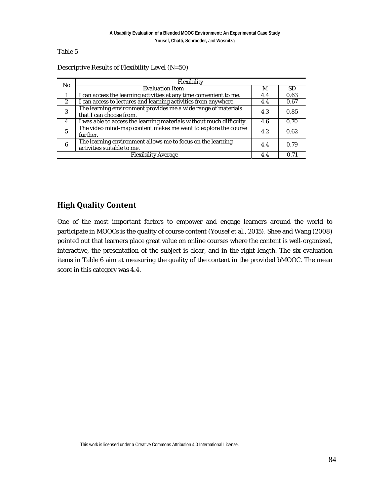| N <sub>0</sub>   | Flexibility                                                                               |     |           |
|------------------|-------------------------------------------------------------------------------------------|-----|-----------|
|                  | <b>Evaluation Item</b>                                                                    | М   | <b>SD</b> |
|                  | I can access the learning activities at any time convenient to me.                        | 4.4 | 0.63      |
| $\boldsymbol{2}$ | I can access to lectures and learning activities from anywhere.                           | 4.4 | 0.67      |
| 3                | The learning environment provides me a wide range of materials<br>that I can choose from. | 4.3 | 0.85      |
| 4                | I was able to access the learning materials without much difficulty.                      | 4.6 | 0.70      |
| $\overline{5}$   | The video mind-map content makes me want to explore the course<br>further.                | 4.2 | 0.62      |
| 6                | The learning environment allows me to focus on the learning<br>activities suitable to me. | 4.4 | 0.79      |
|                  | <b>Flexibility Average</b>                                                                | 4.4 | 0.71      |

*Descriptive Results of Flexibility Level (N=50)*

### **High Quality Content**

One of the most important factors to empower and engage learners around the world to participate in MOOCs is the quality of course content (Yousef et al., 2015). Shee and Wang (2008) pointed out that learners place great value on online courses where the content is well-organized, interactive, the presentation of the subject is clear, and in the right length. The six evaluation items in Table 6 aim at measuring the quality of the content in the provided bMOOC. The mean score in this category was 4.4.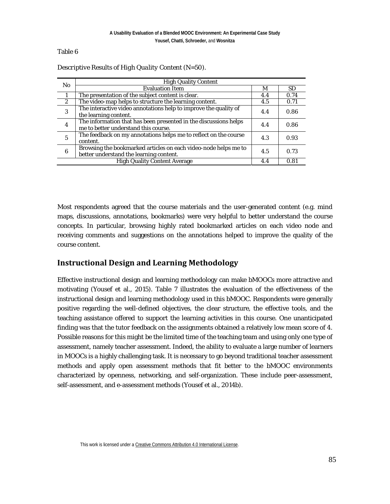| N <sub>0</sub>   | <b>High Quality Content</b>                                      |     |           |
|------------------|------------------------------------------------------------------|-----|-----------|
|                  | <b>Evaluation Item</b>                                           | M   | <b>SD</b> |
| 1                | The presentation of the subject content is clear.                | 4.4 | 0.74      |
| $\boldsymbol{2}$ | The video-map helps to structure the learning content.           | 4.5 | 0.71      |
| 3                | The interactive video annotations help to improve the quality of | 4.4 | 0.86      |
|                  | the learning content.                                            |     |           |
| $\overline{4}$   | The information that has been presented in the discussions helps | 4.4 | 0.86      |
|                  | me to better understand this course.                             |     |           |
| 5                | The feedback on my annotations helps me to reflect on the course | 4.3 | 0.93      |
|                  | content.                                                         |     |           |
| 6                | Browsing the bookmarked articles on each video-node helps me to  | 4.5 | 0.73      |
|                  | better understand the learning content.                          |     |           |
|                  | <b>High Quality Content Average</b>                              | 4.4 | 0.81      |

*Descriptive Results of High Quality Content (N=50).*

Most respondents agreed that the course materials and the user-generated content (e.g. mind maps, discussions, annotations, bookmarks) were very helpful to better understand the course concepts. In particular, browsing highly rated bookmarked articles on each video node and receiving comments and suggestions on the annotations helped to improve the quality of the course content.

### **Instructional Design and Learning Methodology**

Effective instructional design and learning methodology can make bMOOCs more attractive and motivating (Yousef et al., 2015). Table 7 illustrates the evaluation of the effectiveness of the instructional design and learning methodology used in this bMOOC. Respondents were generally positive regarding the well-defined objectives, the clear structure, the effective tools, and the teaching assistance offered to support the learning activities in this course. One unanticipated finding was that the tutor feedback on the assignments obtained a relatively low mean score of 4. Possible reasons for this might be the limited time of the teaching team and using only one type of assessment, namely teacher assessment. Indeed, the ability to evaluate a large number of learners in MOOCs is a highly challenging task. It is necessary to go beyond traditional teacher assessment methods and apply open assessment methods that fit better to the bMOOC environments characterized by openness, networking, and self-organization. These include peer-assessment, self-assessment, and e-assessment methods (Yousef et al., 2014b).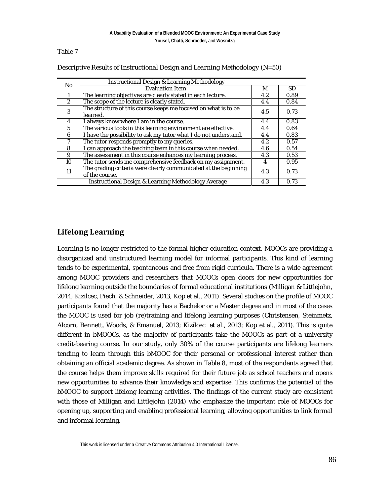| N <sub>0</sub> | <b>Instructional Design &amp; Learning Methodology</b>                            |     |           |
|----------------|-----------------------------------------------------------------------------------|-----|-----------|
|                | <b>Evaluation Item</b>                                                            | M   | <b>SD</b> |
|                | The learning objectives are clearly stated in each lecture.                       | 4.2 | 0.89      |
| $\overline{2}$ | The scope of the lecture is clearly stated.                                       | 4.4 | 0.84      |
| 3              | The structure of this course keeps me focused on what is to be<br>learned.        | 4.5 | 0.73      |
| 4              | I always know where I am in the course.                                           | 4.4 | 0.83      |
| $\overline{5}$ | The various tools in this learning environment are effective.                     | 4.4 | 0.64      |
| 6              | I have the possibility to ask my tutor what I do not understand.                  | 4.4 | 0.83      |
| 7              | The tutor responds promptly to my queries.                                        | 4.2 | 0.57      |
| 8              | I can approach the teaching team in this course when needed.                      | 4.6 | 0.54      |
| 9              | The assessment in this course enhances my learning process.                       | 4.3 | 0.53      |
| 10             | The tutor sends me comprehensive feedback on my assignment.                       | 4   | 0.95      |
| 11             | The grading criteria were clearly communicated at the beginning<br>of the course. | 4.3 | 0.73      |
|                | <b>Instructional Design &amp; Learning Methodology Average</b>                    | 4.3 | 0.73      |

*Descriptive Results of Instructional Design and Learning Methodology (N=50)*

### **Lifelong Learning**

Learning is no longer restricted to the formal higher education context. MOOCs are providing a disorganized and unstructured learning model for informal participants. This kind of learning tends to be experimental, spontaneous and free from rigid curricula. There is a wide agreement among MOOC providers and researchers that MOOCs open doors for new opportunities for lifelong learning outside the boundaries of formal educational institutions (Milligan & Littlejohn, 2014; Kizilcec, Piech, & Schneider, 2013; Kop et al., 2011). Several studies on the profile of MOOC participants found that the majority has a Bachelor or a Master degree and in most of the cases the MOOC is used for job (re)training and lifelong learning purposes (Christensen, Steinmetz, Alcorn, Bennett, Woods, & Emanuel, 2013; Kizilcec et al., 2013; Kop et al., 2011). This is quite different in bMOOCs, as the majority of participants take the MOOCs as part of a university credit-bearing course. In our study, only 30% of the course participants are lifelong learners tending to learn through this bMOOC for their personal or professional interest rather than obtaining an official academic degree. As shown in Table 8, most of the respondents agreed that the course helps them improve skills required for their future job as school teachers and opens new opportunities to advance their knowledge and expertise. This confirms the potential of the bMOOC to support lifelong learning activities. The findings of the current study are consistent with those of Milligan and Littlejohn (2014) who emphasize the important role of MOOCs for opening up, supporting and enabling professional learning, allowing opportunities to link formal and informal learning.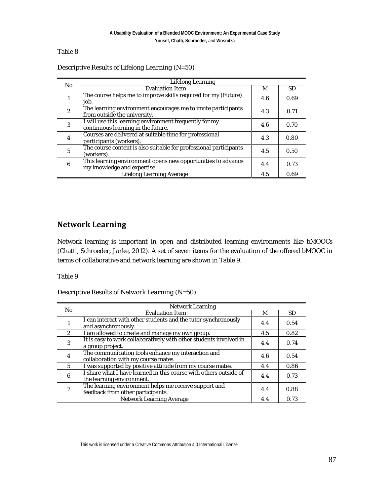| No.                              | <b>Lifelong Learning</b>                                                                      |     |           |
|----------------------------------|-----------------------------------------------------------------------------------------------|-----|-----------|
|                                  | <b>Evaluation Item</b>                                                                        | М   | <b>SD</b> |
| -                                | The course helps me to improve skills required for my (Future)<br>iob.                        | 4.6 | 0.69      |
| $\boldsymbol{2}$                 | The learning environment encourages me to invite participants<br>from outside the university. | 4.3 | 0.71      |
| 3                                | I will use this learning environment frequently for my<br>continuous learning in the future.  | 4.6 | 0.70      |
| 4                                | Courses are delivered at suitable time for professional<br>participants (workers).            | 4.3 | 0.80      |
| 5                                | The course content is also suitable for professional participants<br>(workers).               | 4.5 | 0.50      |
| 6                                | This learning environment opens new opportunities to advance<br>my knowledge and expertise.   | 4.4 | 0.73      |
| <b>Lifelong Learning Average</b> |                                                                                               | 4.5 | 0.69      |

*Descriptive Results of Lifelong Learning (N=50)*

### **Network Learning**

Network learning is important in open and distributed learning environments like bMOOCs (Chatti, Schroeder, Jarke, 2012). A set of seven items for the evaluation of the offered bMOOC in terms of collaborative and network learning are shown in Table 9.

Table 9

#### *Descriptive Results of Network Learning (N=50)*

| No.                             | <b>Network Learning</b>                                                                        |     |           |
|---------------------------------|------------------------------------------------------------------------------------------------|-----|-----------|
|                                 | <b>Evaluation Item</b>                                                                         | M   | <b>SD</b> |
| 1                               | I can interact with other students and the tutor synchronously<br>and asynchronously.          | 4.4 | 0.54      |
| $\boldsymbol{2}$                | I am allowed to create and manage my own group.                                                | 4.5 | 0.82      |
| 3                               | It is easy to work collaboratively with other students involved in<br>a group project.         | 4.4 | 0.74      |
| $\overline{4}$                  | The communication tools enhance my interaction and<br>collaboration with my course mates.      | 4.6 | 0.54      |
| $\overline{5}$                  | I was supported by positive attitude from my course mates.                                     | 4.4 | 0.86      |
| 6                               | I share what I have learned in this course with others outside of<br>the learning environment. | 4.4 | 0.73      |
| 7                               | The learning environment helps me receive support and<br>feedback from other participants.     | 4.4 | 0.88      |
| <b>Network Learning Average</b> |                                                                                                | 4.4 | 0.73      |

This work is licensed under [a Creative Commons Attribution 4.0 International License.](http://creativecommons.org/licenses/by/4.0/)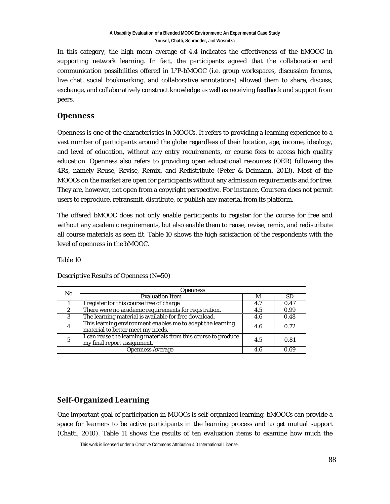In this category, the high mean average of 4.4 indicates the effectiveness of the bMOOC in supporting network learning. In fact, the participants agreed that the collaboration and communication possibilities offered in L2P-bMOOC (i.e. group workspaces, discussion forums, live chat, social bookmarking, and collaborative annotations) allowed them to share, discuss, exchange, and collaboratively construct knowledge as well as receiving feedback and support from peers.

### **Openness**

Openness is one of the characteristics in MOOCs. It refers to providing a learning experience to a vast number of participants around the globe regardless of their location, age, income, ideology, and level of education, without any entry requirements, or course fees to access high quality education. Openness also refers to providing open educational resources (OER) following the 4Rs, namely Reuse, Revise, Remix, and Redistribute (Peter & Deimann, 2013). Most of the MOOCs on the market are open for participants without any admission requirements and for free. They are, however, not open from a copyright perspective. For instance, Coursera does not permit users to reproduce, retransmit, distribute, or publish any material from its platform.

The offered bMOOC does not only enable participants to register for the course for free and without any academic requirements, but also enable them to reuse, revise, remix, and redistribute all course materials as seen fit. Table 10 shows the high satisfaction of the respondents with the level of openness in the bMOOC.

Table 10

*Descriptive Results of Openness (N=50)*

| N <sub>0</sub>          | <b>Openness</b>                                                                                 |     |           |
|-------------------------|-------------------------------------------------------------------------------------------------|-----|-----------|
|                         | <b>Evaluation Item</b>                                                                          | M   | <b>SD</b> |
|                         | I register for this course free of charge                                                       | 4.7 | 0.47      |
| 2                       | There were no academic requirements for registration.                                           | 4.5 | 0.99      |
| 3                       | The learning material is available for free download.                                           | 4.6 | 0.48      |
| 4                       | This learning environment enables me to adapt the learning<br>material to better meet my needs. | 4.6 | 0.72      |
| 5                       | I can reuse the learning materials from this course to produce<br>my final report assignment.   | 4.5 | 0.81      |
| <b>Openness Average</b> |                                                                                                 | 4.6 | 0.69      |

### **Self-Organized Learning**

One important goal of participation in MOOCs is self-organized learning. bMOOCs can provide a space for learners to be active participants in the learning process and to get mutual support (Chatti, 2010). Table 11 shows the results of ten evaluation items to examine how much the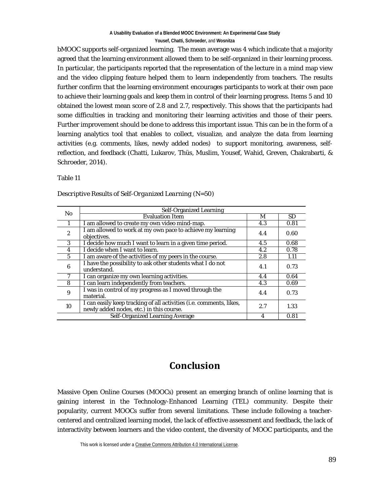bMOOC supports self-organized learning. The mean average was 4 which indicate that a majority agreed that the learning environment allowed them to be self-organized in their learning process. In particular, the participants reported that the representation of the lecture in a mind map view and the video clipping feature helped them to learn independently from teachers. The results further confirm that the learning environment encourages participants to work at their own pace to achieve their learning goals and keep them in control of their learning progress. Items 5 and 10 obtained the lowest mean score of 2.8 and 2.7, respectively. This shows that the participants had some difficulties in tracking and monitoring their learning activities and those of their peers. Further improvement should be done to address this important issue. This can be in the form of a learning analytics tool that enables to collect, visualize, and analyze the data from learning activities (e.g. comments, likes, newly added nodes) to support monitoring, awareness, selfreflection, and feedback (Chatti, Lukarov, Thüs, Muslim, Yousef, Wahid, Greven, Chakrabarti, & Schroeder, 2014).

Table 11

| N <sub>0</sub>                  | Self-Organized Learning                                                                                         |     |           |
|---------------------------------|-----------------------------------------------------------------------------------------------------------------|-----|-----------|
|                                 | <b>Evaluation Item</b>                                                                                          | М   | <b>SD</b> |
|                                 | I am allowed to create my own video mind-map.                                                                   | 4.3 | 0.81      |
| $\overline{c}$                  | I am allowed to work at my own pace to achieve my learning<br>objectives.                                       | 4.4 | 0.60      |
| 3                               | I decide how much I want to learn in a given time period.                                                       | 4.5 | 0.68      |
| 4                               | I decide when I want to learn.                                                                                  | 4.2 | 0.78      |
| 5                               | I am aware of the activities of my peers in the course.                                                         | 2.8 | 1.11      |
| 6                               | I have the possibility to ask other students what I do not<br>understand.                                       | 4.1 | 0.73      |
|                                 | I can organize my own learning activities.                                                                      | 4.4 | 0.64      |
| 8                               | I can learn independently from teachers.                                                                        | 4.3 | 0.69      |
| 9                               | I was in control of my progress as I moved through the<br>material.                                             | 4.4 | 0.73      |
| 10                              | I can easily keep tracking of all activities (i.e. comments, likes,<br>newly added nodes, etc.) in this course. | 2.7 | 1.33      |
| Self-Organized Learning Average |                                                                                                                 | 4   | 0.81      |

*Descriptive Results of Self-Organized Learning (N=50)*

## **Conclusion**

Massive Open Online Courses (MOOCs) present an emerging branch of online learning that is gaining interest in the Technology-Enhanced Learning (TEL) community. Despite their popularity, current MOOCs suffer from several limitations. These include following a teachercentered and centralized learning model, the lack of effective assessment and feedback, the lack of interactivity between learners and the video content, the diversity of MOOC participants, and the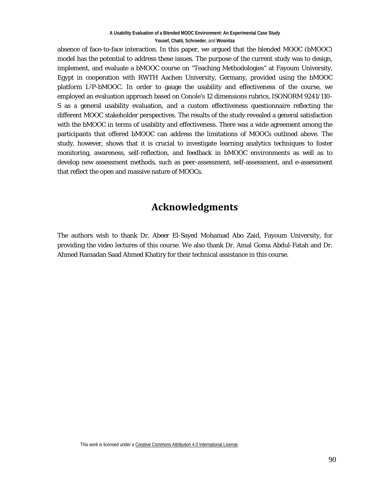absence of face-to-face interaction. In this paper, we argued that the blended MOOC (bMOOC) model has the potential to address these issues. The purpose of the current study was to design, implement, and evaluate a bMOOC course on "Teaching Methodologies" at Fayoum University, Egypt in cooperation with RWTH Aachen University, Germany, provided using the bMOOC platform L2P-bMOOC. In order to gauge the usability and effectiveness of the course, we employed an evaluation approach based on Conole's 12 dimensions rubrics, ISONORM 9241/110- S as a general usability evaluation, and a custom effectiveness questionnaire reflecting the different MOOC stakeholder perspectives. The results of the study revealed a general satisfaction with the bMOOC in terms of usability and effectiveness. There was a wide agreement among the participants that offered bMOOC can address the limitations of MOOCs outlined above. The study, however, shows that it is crucial to investigate learning analytics techniques to foster monitoring, awareness, self-reflection, and feedback in bMOOC environments as well as to develop new assessment methods, such as peer-assessment, self-assessment, and e-assessment that reflect the open and massive nature of MOOCs.

## **Acknowledgments**

The authors wish to thank Dr. Abeer El-Sayed Mohamad Abo Zaid, Fayoum University, for providing the video lectures of this course. We also thank Dr. Amal Goma Abdul-Fatah and Dr. Ahmed Ramadan Saad Ahmed Khatiry for their technical assistance in this course.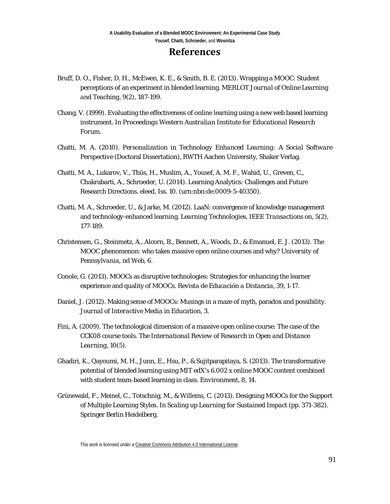### **References**

- Bruff, D. O., Fisher, D. H., McEwen, K. E., & Smith, B. E. (2013). Wrapping a MOOC: Student perceptions of an experiment in blended learning. *MERLOT Journal of Online Learning and Teaching*, *9*(2), 187-199.
- Chang, V. (1999). Evaluating the effectiveness of online learning using a new web based learning instrument. In *Proceedings Western Australian Institute for Educational Research Forum*.
- Chatti, M. A. (2010). *Personalization in Technology Enhanced Learning: A Social Software Perspective* (Doctoral Dissertation), RWTH Aachen University, Shaker Verlag.
- Chatti, M. A., Lukarov, V., Thüs, H., Muslim, A., Yousef, A. M. F., Wahid, U., Greven, C., Chakrabarti, A., Schroeder, U. (2014). Learning Analytics: Challenges and Future Research Directions. *eleed*, *Iss. 10.* (urn:nbn:de:0009-5-40350).
- Chatti, M. A., Schroeder, U., & Jarke, M. (2012). LaaN: convergence of knowledge management and technology-enhanced learning. *Learning Technologies, IEEE Transactions on*, 5(2), 177-189.
- Christensen, G., Steinmetz, A., Alcorn, B., Bennett, A., Woods, D., & Emanuel, E. J. (2013). The MOOC phenomenon: who takes massive open online courses and why? *University of Pennsylvania, nd Web*, *6*.
- Conole, G. (2013). MOOCs as disruptive technologies: Strategies for enhancing the learner experience and quality of MOOCs. *Revista de Educación a Distancia*, *39*, 1-17.
- Daniel, J. (2012). Making sense of MOOCs: Musings in a maze of myth, paradox and possibility. *Journal of Interactive Media in Education*, *3*.
- Fini, A. (2009). The technological dimension of a massive open online course: The case of the CCK08 course tools. *The International Review of Research in Open and Distance Learning*, *10*(5).
- Ghadiri, K., Qayoumi, M. H., Junn, E., Hsu, P., & Sujitparapitaya, S. (2013). The transformative potential of blended learning using MIT edX's 6.002 x online MOOC content combined with student team-based learning in class. *Environment*, *8*, 14.
- Grünewald, F., Meinel, C., Totschnig, M., & Willems, C. (2013). Designing MOOCs for the Support of Multiple Learning Styles. In *Scaling up Learning for Sustained Impact* (pp. 371-382). Springer Berlin Heidelberg.

This work is licensed under [a Creative Commons Attribution 4.0 International License.](http://creativecommons.org/licenses/by/4.0/)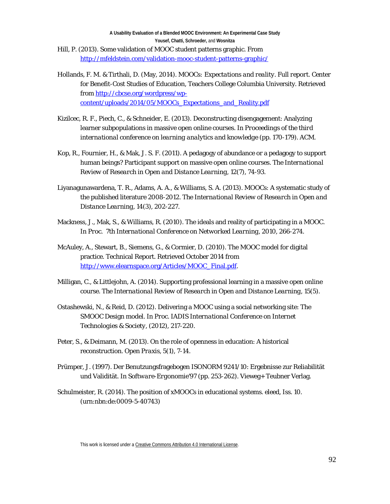- Hill, P. (2013). Some validation of MOOC student patterns graphic. From <http://mfeldstein.com/validation-mooc-student-patterns-graphic/>
- Hollands, F. M. & Tirthali, D. (May, 2014). *MOOCs: Expectations and reality. Full report.* Center for Benefit-Cost Studies of Education, Teachers College Columbia University. Retrieved from [http://cbcse.org/wordpress/wp](http://cbcse.org/wordpress/wp-content/uploads/2014/05/MOOCs_Expectations_and_Reality.pdf)[content/uploads/2014/05/MOOCs\\_Expectations\\_and\\_Reality.pdf](http://cbcse.org/wordpress/wp-content/uploads/2014/05/MOOCs_Expectations_and_Reality.pdf)
- Kizilcec, R. F., Piech, C., & Schneider, E. (2013). Deconstructing disengagement: Analyzing learner subpopulations in massive open online courses. In *Proceedings of the third international conference on learning analytics and knowledge* (pp. 170-179). ACM.
- Kop, R., Fournier, H., & Mak, J. S. F. (2011). A pedagogy of abundance or a pedagogy to support human beings? Participant support on massive open online courses. *The International Review of Research in Open and Distance Learning*, *12*(7), 74-93.
- Liyanagunawardena, T. R., Adams, A. A., & Williams, S. A. (2013). MOOCs: A systematic study of the published literature 2008-2012. *The International Review of Research in Open and Distance Learning*, *14*(3), 202-227.
- Mackness, J., Mak, S., & Williams, R. (2010). The ideals and reality of participating in a MOOC. In *Proc. 7th International Conference on Networked Learning*, 2010, 266-274.
- McAuley, A., Stewart, B., Siemens, G., & Cormier, D. (2010). The MOOC model for digital practice. Technical Report. Retrieved October 2014 from [http://www.elearnspace.org/Articles/MOOC\\_Final.pdf.](http://www.elearnspace.org/Articles/MOOC_Final.pdf)
- Milligan, C., & Littlejohn, A. (2014). Supporting professional learning in a massive open online course. *The International Review of Research in Open and Distance Learning*, *15*(5).
- Ostashewski, N., & Reid, D. (2012). Delivering a MOOC using a social networking site: The SMOOC Design model. In *Proc*. *IADIS International Conference on Internet Technologies & Society*, (2012), 217-220.
- Peter, S., & Deimann, M. (2013). On the role of openness in education: A historical reconstruction. *Open Praxis*, *5*(1), 7-14.
- Prümper, J. (1997). Der Benutzungsfragebogen ISONORM 9241/10: Ergebnisse zur Reliabilität und Validität. In *Software-Ergonomie'97* (pp. 253-262). Vieweg+ Teubner Verlag.
- Schulmeister, R. (2014). The position of xMOOCs in educational systems. *eleed, Iss. 10*. [\(urn:nbn:de:0009-5-40743\)](http://nbn-resolving.de/urn:nbn:de:0009-5-40743)

This work is licensed under [a Creative Commons Attribution 4.0 International License.](http://creativecommons.org/licenses/by/4.0/)